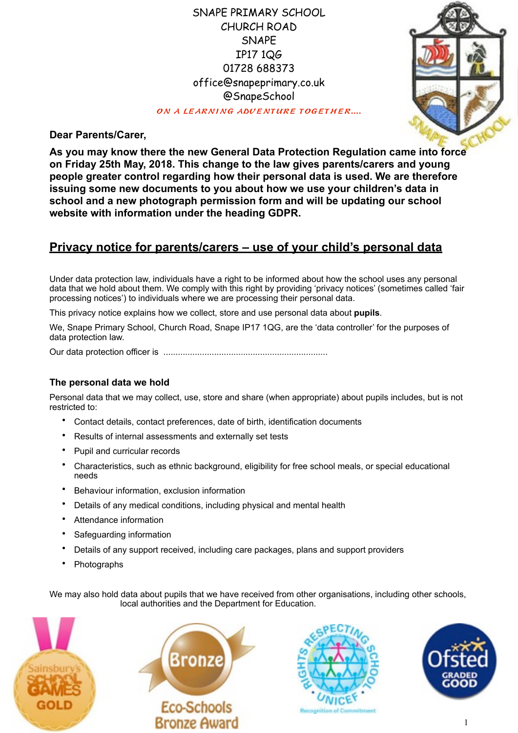## SNAPE PRIMARY SCHOOL CHURCH ROAD SNAPE IP17 1QG 01728 688373 [office@snapeprimary.co.uk](mailto:office@snapeprimary.co.uk) @SnapeSchool

ON A LEARNING ADVENTURE TOGETHER....



**Dear Parents/Carer,**

**As you may know there the new General Data Protection Regulation came into force on Friday 25th May, 2018. This change to the law gives parents/carers and young people greater control regarding how their personal data is used. We are therefore issuing some new documents to you about how we use your children's data in school and a new photograph permission form and will be updating our school website with information under the heading GDPR.**

# **Privacy notice for parents/carers – use of your child's personal data**

Under data protection law, individuals have a right to be informed about how the school uses any personal data that we hold about them. We comply with this right by providing 'privacy notices' (sometimes called 'fair processing notices') to individuals where we are processing their personal data.

This privacy notice explains how we collect, store and use personal data about **pupils**.

We, Snape Primary School, Church Road, Snape IP17 1QG, are the 'data controller' for the purposes of data protection law.

Our data protection officer is ....................................................................

#### **The personal data we hold**

Personal data that we may collect, use, store and share (when appropriate) about pupils includes, but is not restricted to:

- Contact details, contact preferences, date of birth, identification documents
- Results of internal assessments and externally set tests
- Pupil and curricular records
- Characteristics, such as ethnic background, eligibility for free school meals, or special educational needs
- Behaviour information, exclusion information
- Details of any medical conditions, including physical and mental health
- Attendance information
- Safeguarding information
- Details of any support received, including care packages, plans and support providers
- Photographs

We may also hold data about pupils that we have received from other organisations, including other schools, local authorities and the Department for Education.







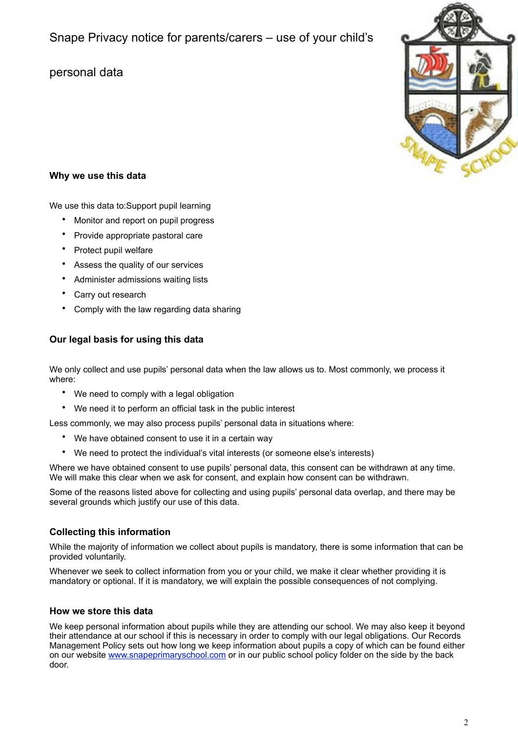### **Why we use this data**

We use this data to:Support pupil learning

- Monitor and report on pupil progress
- Provide appropriate pastoral care
- Protect pupil welfare
- Assess the quality of our services
- Administer admissions waiting lists
- Carry out research
- Comply with the law regarding data sharing

### **Our legal basis for using this data**

We only collect and use pupils' personal data when the law allows us to. Most commonly, we process it where:

- We need to comply with a legal obligation
- We need it to perform an official task in the public interest

Less commonly, we may also process pupils' personal data in situations where:

- We have obtained consent to use it in a certain way
- We need to protect the individual's vital interests (or someone else's interests)

Where we have obtained consent to use pupils' personal data, this consent can be withdrawn at any time. We will make this clear when we ask for consent, and explain how consent can be withdrawn.

Some of the reasons listed above for collecting and using pupils' personal data overlap, and there may be several grounds which justify our use of this data.

### **Collecting this information**

While the majority of information we collect about pupils is mandatory, there is some information that can be provided voluntarily.

Whenever we seek to collect information from you or your child, we make it clear whether providing it is mandatory or optional. If it is mandatory, we will explain the possible consequences of not complying.

#### **How we store this data**

We keep personal information about pupils while they are attending our school. We may also keep it beyond their attendance at our school if this is necessary in order to comply with our legal obligations. Our Records Management Policy sets out how long we keep information about pupils a copy of which can be found either on our website [www.snapeprimaryschool.com](http://www.snapeprimaryschool.com) or in our public school policy folder on the side by the back door.

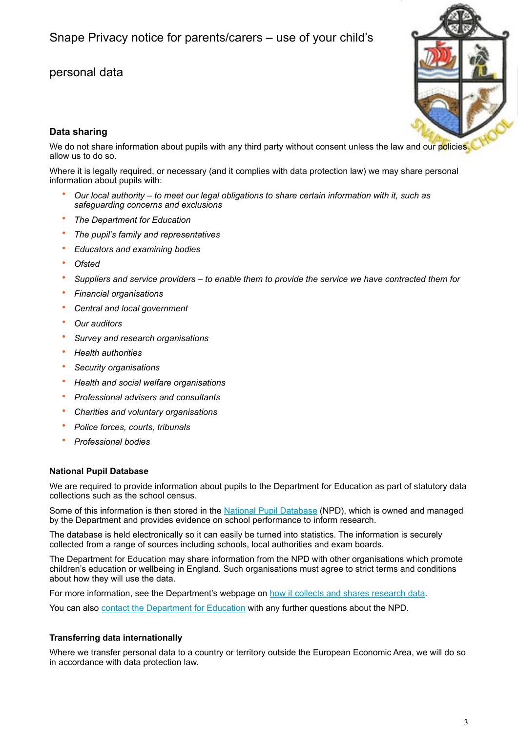

### **Data sharing**

We do not share information about pupils with any third party without consent unless the law and our policies allow us to do so.

Where it is legally required, or necessary (and it complies with data protection law) we may share personal information about pupils with:

- *Our local authority to meet our legal obligations to share certain information with it, such as safeguarding concerns and exclusions*
- *The Department for Education*
- *The pupil's family and representatives*
- *Educators and examining bodies*
- *Ofsted*
- *Suppliers and service providers to enable them to provide the service we have contracted them for*
- *Financial organisations*
- *Central and local government*
- *Our auditors*
- *Survey and research organisations*
- *Health authorities*
- *Security organisations*
- *Health and social welfare organisations*
- *Professional advisers and consultants*
- *Charities and voluntary organisations*
- *Police forces, courts, tribunals*
- *Professional bodies*

#### **National Pupil Database**

We are required to provide information about pupils to the Department for Education as part of statutory data collections such as the school census.

Some of this information is then stored in the [National Pupil Database](https://www.gov.uk/government/publications/national-pupil-database-user-guide-and-supporting-information) (NPD), which is owned and managed by the Department and provides evidence on school performance to inform research.

The database is held electronically so it can easily be turned into statistics. The information is securely collected from a range of sources including schools, local authorities and exam boards.

The Department for Education may share information from the NPD with other organisations which promote children's education or wellbeing in England. Such organisations must agree to strict terms and conditions about how they will use the data.

For more information, see the Department's webpage on [how it collects and shares research data.](https://www.gov.uk/data-protection-how-we-collect-and-share-research-data)

You can also [contact the Department for Education](https://www.gov.uk/contact-dfe) with any further questions about the NPD.

#### **Transferring data internationally**

Where we transfer personal data to a country or territory outside the European Economic Area, we will do so in accordance with data protection law.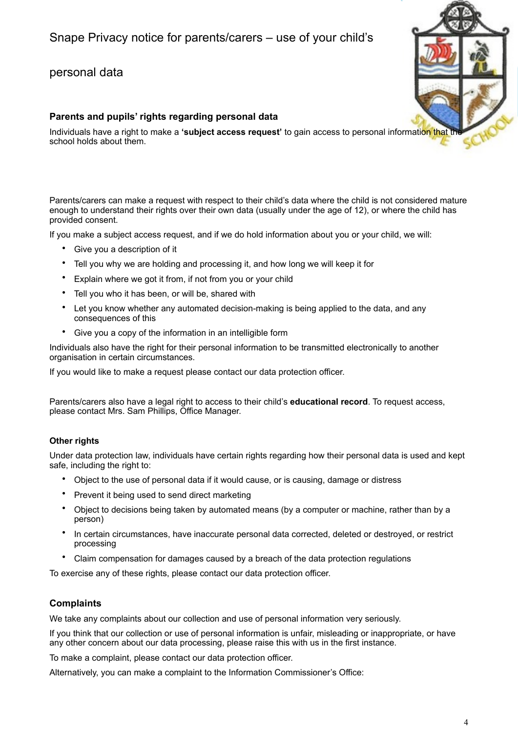### **Parents and pupils' rights regarding personal data**

Individuals have a right to make a **'subject access request'** to gain access to personal information that the school holds about them.

Parents/carers can make a request with respect to their child's data where the child is not considered mature enough to understand their rights over their own data (usually under the age of 12), or where the child has provided consent.

If you make a subject access request, and if we do hold information about you or your child, we will:

- Give you a description of it
- Tell you why we are holding and processing it, and how long we will keep it for
- Explain where we got it from, if not from you or your child
- Tell you who it has been, or will be, shared with
- Let you know whether any automated decision-making is being applied to the data, and any consequences of this
- Give you a copy of the information in an intelligible form

Individuals also have the right for their personal information to be transmitted electronically to another organisation in certain circumstances.

If you would like to make a request please contact our data protection officer.

Parents/carers also have a legal right to access to their child's **educational record**. To request access, please contact Mrs. Sam Phillips, Office Manager.

#### **Other rights**

Under data protection law, individuals have certain rights regarding how their personal data is used and kept safe, including the right to:

- Object to the use of personal data if it would cause, or is causing, damage or distress
- Prevent it being used to send direct marketing
- Object to decisions being taken by automated means (by a computer or machine, rather than by a person)
- In certain circumstances, have inaccurate personal data corrected, deleted or destroyed, or restrict processing
- Claim compensation for damages caused by a breach of the data protection regulations

To exercise any of these rights, please contact our data protection officer.

### **Complaints**

We take any complaints about our collection and use of personal information very seriously.

If you think that our collection or use of personal information is unfair, misleading or inappropriate, or have any other concern about our data processing, please raise this with us in the first instance.

To make a complaint, please contact our data protection officer.

Alternatively, you can make a complaint to the Information Commissioner's Office: